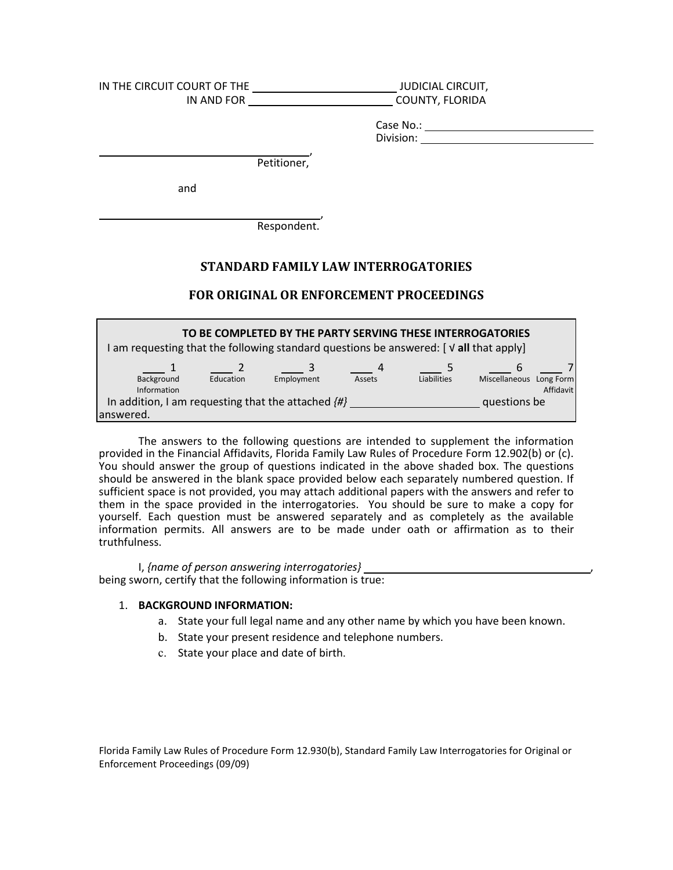| IN THE CIRCUIT COURT OF THE<br>IN AND FOR | <b>JUDICIAL CIRCUIT,</b><br>COUNTY, FLORIDA |                        |  |  |
|-------------------------------------------|---------------------------------------------|------------------------|--|--|
|                                           |                                             | Case No.:<br>Division: |  |  |
|                                           | Petitioner,                                 |                        |  |  |
| and                                       |                                             |                        |  |  |
|                                           |                                             |                        |  |  |

Respondent.

# **STANDARD FAMILY LAW INTERROGATORIES**

## **FOR ORIGINAL OR ENFORCEMENT PROCEEDINGS**

| TO BE COMPLETED BY THE PARTY SERVING THESE INTERROGATORIES                                                      |           |            |        |             |                         |           |  |
|-----------------------------------------------------------------------------------------------------------------|-----------|------------|--------|-------------|-------------------------|-----------|--|
| am requesting that the following standard questions be answered: $\lceil \sqrt{\mathsf{all}}\right.$ that apply |           |            | 4      |             | 6                       |           |  |
| Background<br>Information                                                                                       | Education | Employment | Assets | Liabilities | Miscellaneous Long Form | Affidavit |  |
| In addition, I am requesting that the attached $\{H\}$<br>lanswered.                                            |           |            |        |             | questions be            |           |  |

You should answer the group of questions indicated in the above shaded box. The questions should be answered in the blank space provided below each separately numbered question. If sufficient space is not provided, you may attach additional papers with the answers and refer to in the space provided in the interrogatories. You should be sure to make a copy for yourself. Each question must be answered separately and as completely as the available information permits. All answers are to be made under oath or affirmation as to their The answers to the following questions are intended to supplement the information provided in the Financial Affidavits, Florida Family Law Rules of Procedure Form 12.902(b) or (c). sufficient space is not provided, you may attach additional papers with the answers and refer to<br>them in the space provided in the interrogatories. You should be sure to make a copy for<br>yourself. Each question must be answ truthfulness.

 I, *{name of person answering interrogatories}*  , being sworn, certify that the following information is true:

#### 1. **BACKGROUND INFORMATION:**

- a. State your full legal name and any other name by which you have been known.<br>b. State your present residence and telephone numbers.
- 
- c. State your place and date of birth.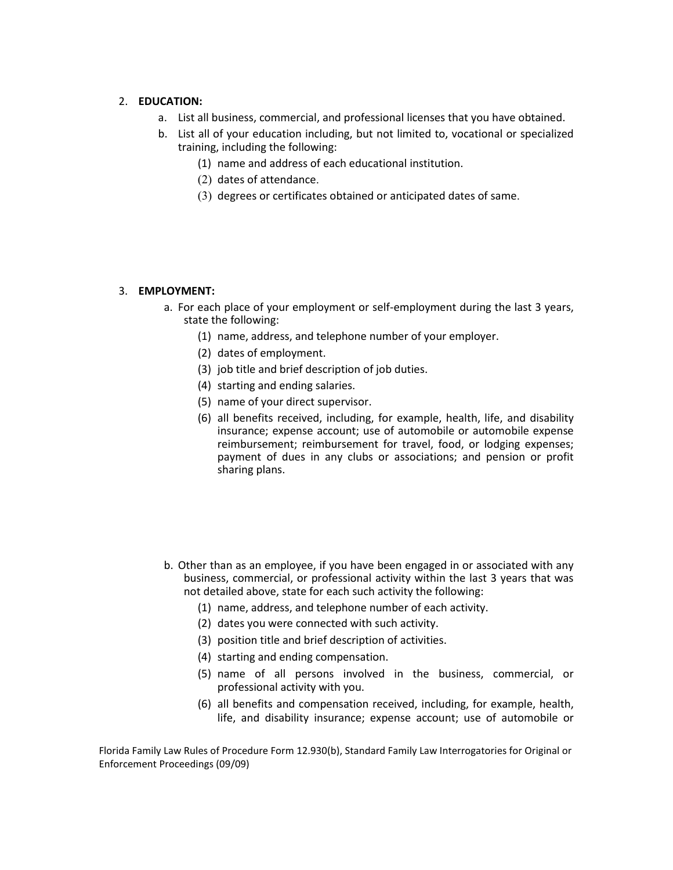### 2. **EDUCATION:**

- a. List all business, commercial, and professional licenses that you have obtained.
- b. List all of your education including, but not limited to, vocational or specialized training, including the following:
	- (1) name and address of each educational institution.
	- (2) dates of attendance.
	- (3) degrees or certificates obtained or anticipated dates of same.

### 3. **EMPLOYMENT:**

- a. For each place of your employment or self-employment during the last 3 years, state the following:
	- (1) name, address, and telephone number of your employer.
	- (2) dates of employment.
	- (3) job title and brief description of job duties.
	- (4) starting and ending salaries.
	- (5) name of your direct supervisor.
	- (6) all benefits received, including, for example, health, life, and disability reimbursement; reimbursement for travel, food, or lodging expenses; dues in any clubs or associations; and pension or profit insurance; expense account; use of automobile or automobile expense reimbursement; reimbursement for travel, food, or lodging expenses; payment of dues in any clubs or associations; and pension or profit sharing plans.
- b. Other than as an employee, if you have been engaged in or associated with any business, commercial, or professional activity within the last 3 years that was not detailed above, state for each such activity the following:
	- (1) name, address, and telephone number of each activity.
	- (2) dates you were connected with such activity.
	- (3) position title and brief description of activities.
	- (4) starting and ending compensation.
	- (5) name of all persons involved in the business, commercial, or professional activity with you.
	- life, and disability insurance; expense account; use of automobile or (6) all benefits and compensation received, including, for example, health,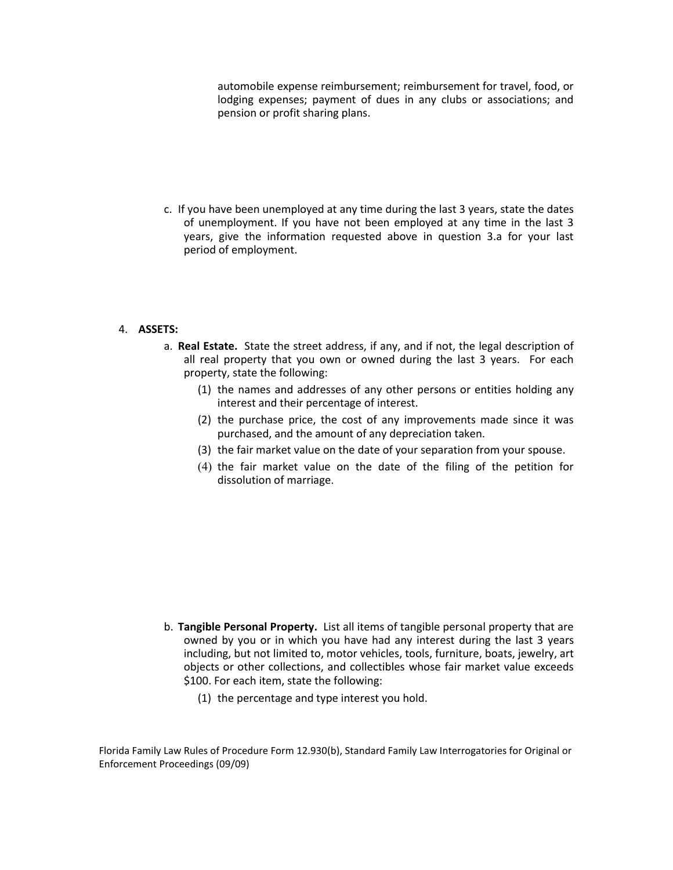automobile expense reimbursement; reimbursement for travel, food, or lodging expenses; payment of dues in any clubs or associations; and pension or profit sharing plans.

of unemployment. If you have not been employed at any time in the last 3 give the information requested above in question 3.a for your last c. If you have been unemployed at any time during the last 3 years, state the dates of unemployment. If you have not been employed at any time in the last 3<br>years, give the information requested above in question 3.a for your last<br>period of employment.

### 4. **ASSETS:**

- a. **Real Estate.**  State the street address, if any, and if not, the legal description of all real property that you own or owned during the last 3 years. For each property, state the following: all real property that you own or owned during the last 3 years. For each
	- (1) the names and addresses of any other persons or entities holding any interest and their percentage of interest.
	- (2) the purchase price, the cost of any improvements made since it was purchased, and the amount of any depreciation taken.
	- (3) the fair market value on the date of your separation from your spouse.
	- (4) the fair market value on the date of the filing of the petition for dissolution of marriage.

- b. Tangible Personal Property. List all items of tangible personal property that are b. **Tangible Personal Property.**  List all items of tangible personal property that are owned by you or in which you have had any interest during the last 3 years objects or other collections, and collectibles whose fair market value exceeds including, but not limited to, motor vehicles, tools, furniture, boats, jewelry, art \$100. For each item, state the following:
	- (1) the percentage and type interest you hold.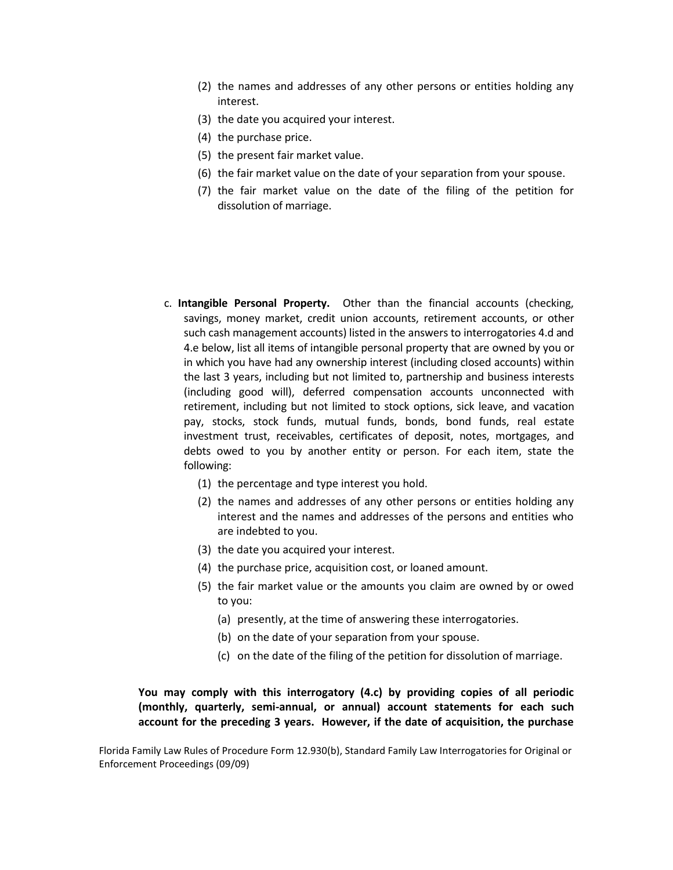- (2) the names and addresses of any other persons or entities holding any interest.
- (3) the date you acquired your interest.
- (4) the purchase price.
- (5) the present fair market value.
- (6) the fair market value on the date of your separation from your spouse.
- (7) the fair market value on the date of the filing of the petition for dissolution of marriage.
- c. **Intangible Personal Property.** Other than the financial accounts (checking, savings, money market, credit union accounts, retirement accounts, or other such cash management accounts) listed in the answers to interrogatories 4.d and 4.e below, list all items of intangible personal property that are owned by you or in which you have had any ownership interest (including closed accounts) within the last 3 years, including but not limited to, partnership and business interests (including good will), deferred compensation accounts unconnected with retirement, including but not limited to stock options, sick leave, and vacation pay, stocks, stock funds, mutual funds, bonds, bond funds, real estate investment trust, receivables, certificates of deposit, notes, mortgages, and debts owed to you by another entity or person. For each item, state the dissolution of marriage.<br> **c. Intangible Personal Property.** Other than the financial accounts (checking, following:
	- (1) the percentage and type interest you hold.
	- (2) the names and addresses of any other persons or entities holding any interest and the names and addresses of the persons and entities who interest and the names and addresses of the persons and entities who are indebted to you.
	- (3) the date you acquired your interest.
	- (4) the purchase price, acquisition cost, or loaned amount.
	- (5) the fair market value or the amounts you claim are owned by or owed to you:
		- (a) presently, at the time of answering these interrogatories.
		- (b) on the date of your separation from your spouse.
		- (c) on the date of the filing of the petition for dissolution of marriage.

## You may comply with this interrogatory (4.c) by providing copies of all periodic You may comply with this interrogatory (4.c) by providing copies of all periodic<br>(monthly, quarterly, semi-annual, or annual) account statements for each such  **account for the preceding 3 years. However, if the date of acquisition, the purchase**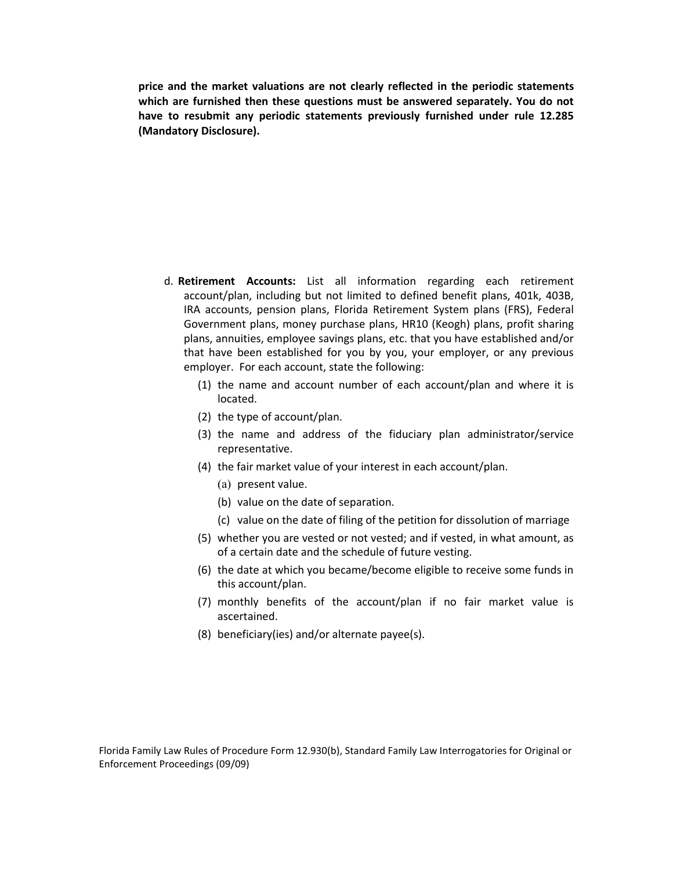**price and the market valuations are not clearly reflected in the periodic statements which are furnished then these questions must be answered separately. You do not have to resubmit any periodic statements previously furnished under rule 12.285 (Mandatory Disclosure).** 

- d. **Retirement Accounts:**  List all information regarding each retirement plans, annuities, employee savings plans, etc. that you have established and/or established for you by you, your employer, or any previous account/plan, including but not limited to defined benefit plans, 401k, 403B, IRA accounts, pension plans, Florida Retirement System plans (FRS), Federal Government plans, money purchase plans, HR10 (Keogh) plans, profit sharing plans, annuities, employee savings plans, etc. that you have established and/or<br>that have been established for you by you, your employer, or any previous<br>employer. For each account, state the following:
	- (1) the name and account number of each account/plan and where it is located. located.
	- (2) the type of account/plan.
	- (3) the name and address of the fiduciary plan administrator/service representative.
	- (4) the fair market value of your interest in each account/plan.
		- (a) present value.
		- (b) value on the date of separation.
		- (c) value on the date of filing of the petition for dissolution of marriage
	- (5) whether you are vested or not vested; and if vested, in what amount, as of a certain date and the schedule of future vesting.
	- (6) the date at which you became/become eligible to receive some funds in this account/plan.
	- (7) monthly benefits of the account/plan if no fair market value is ascertained.
	- (8) beneficiary(ies) and/or alternate payee(s).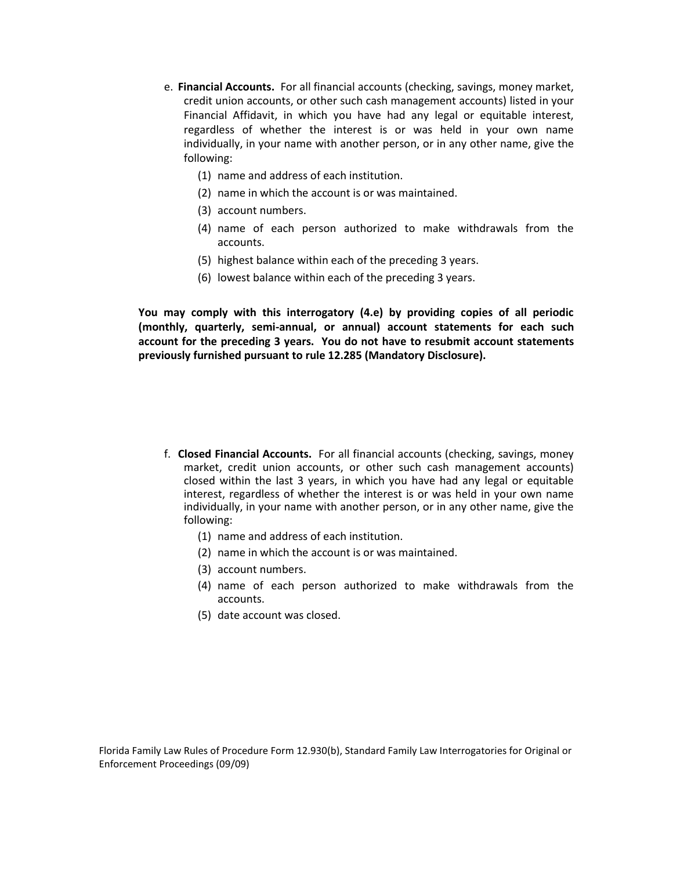- e. **Financial Accounts.**  For all financial accounts (checking, savings, money market, credit union accounts, or other such cash management accounts) listed in your Financial Affidavit, in which you have had any legal or equitable interest, regardless of whether the interest is or was held in your own name individually, in your name with another person, or in any other name, give the following:
	- (1) name and address of each institution.
	- (2) name in which the account is or was maintained.
	- (3) account numbers.
	- (4) name of each person authorized to make withdrawals from the accounts.
	- (5) highest balance within each of the preceding 3 years.
	- (5) highest balance within each of the preceding 3 years. (6) lowest balance within each of the preceding 3 years.

You may comply with this interrogatory (4.e) by providing copies of all periodic You may comply with this interrogatory (4.e) by providing copies of all periodic<br>(monthly, quarterly, semi-annual, or annual) account statements for each such  **account for the preceding 3 years. You do not have to resubmit account statements previously furnished pursuant to rule 12.285 (Mandatory Disclosure).** 

- f. **Closed Financial Accounts.**  For all financial accounts (checking, savings, money market, credit union accounts, or other such cash management accounts) closed within the last 3 years, in which you have had any legal or equitable is or was held in your own name individually, in your name with another person, or in any other name, give the market, credit union accounts, or other such cash management accounts)<br>closed within the last 3 years, in which you have had any legal or equitable<br>interest, regardless of whether the interest is or was held in your own na
	- (1) name and address of each institution.
	- (2) name in which the account is or was maintained.
	- (3) account numbers.
	- (4) name of each person authorized to make withdrawals from the accounts.
	- (5) date account was closed.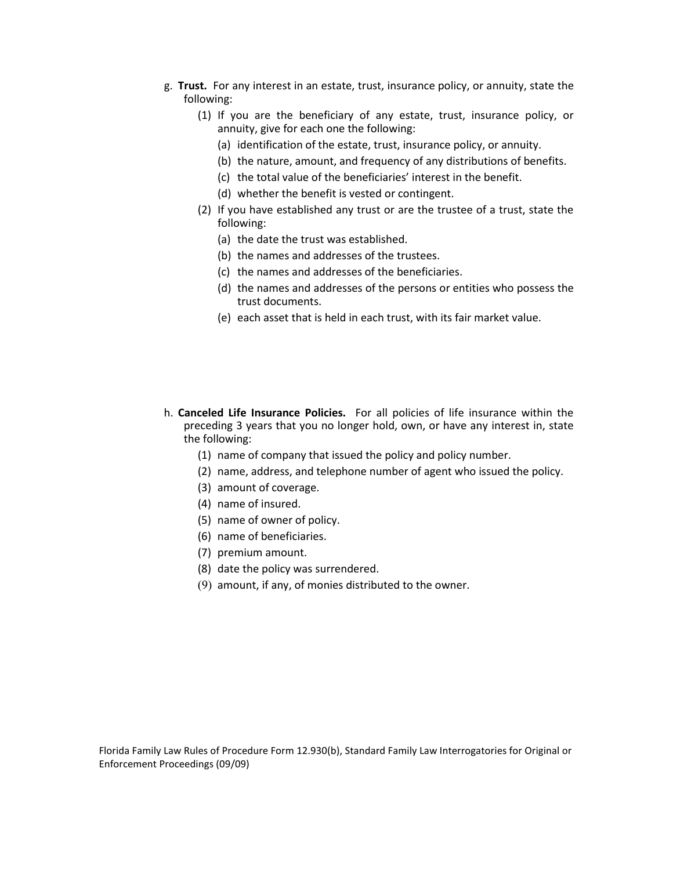- g. **Trust.**  For any interest in an estate, trust, insurance policy, or annuity, state the following:
	- (1) If you are the beneficiary of any estate, trust, insurance policy, or annuity, give for each one the following:
		- (a) identification of the estate, trust, insurance policy, or annuity.
		- (b) the nature, amount, and frequency of any distributions of benefits.
		- (c) the total value of the beneficiaries' interest in the benefit.
		- (d) whether the benefit is vested or contingent.
	- (2) If you have established any trust or are the trustee of a trust, state the following:
		- (a) the date the trust was established.
		- (b) the names and addresses of the trustees.
		- (c) the names and addresses of the beneficiaries.
		- (d) the names and addresses of the persons or entities who possess the trust documents.
		- (e) each asset that is held in each trust, with its fair market value.
- h. **Canceled Life Insurance Policies.** For all policies of life insurance within the preceding 3 years that you no longer hold, own, or have any interest in, state (e) each asset that is held in each trust, with its fair market value. h. **Canceled Life Insurance Policies.**  For all policies of life insurance within the the following:
	- (1) name of company that issued the policy and policy number.
	- (2) name, address, and telephone number of agent who issued the policy.
	- (3) amount of coverage.
	- (4) name of insured.
	- (5) name of owner of policy.
	- (6) name of beneficiaries.
	- (7) premium amount.
	- (8) date the policy was surrendered.
	- (9) amount, if any, of monies distributed to the owner.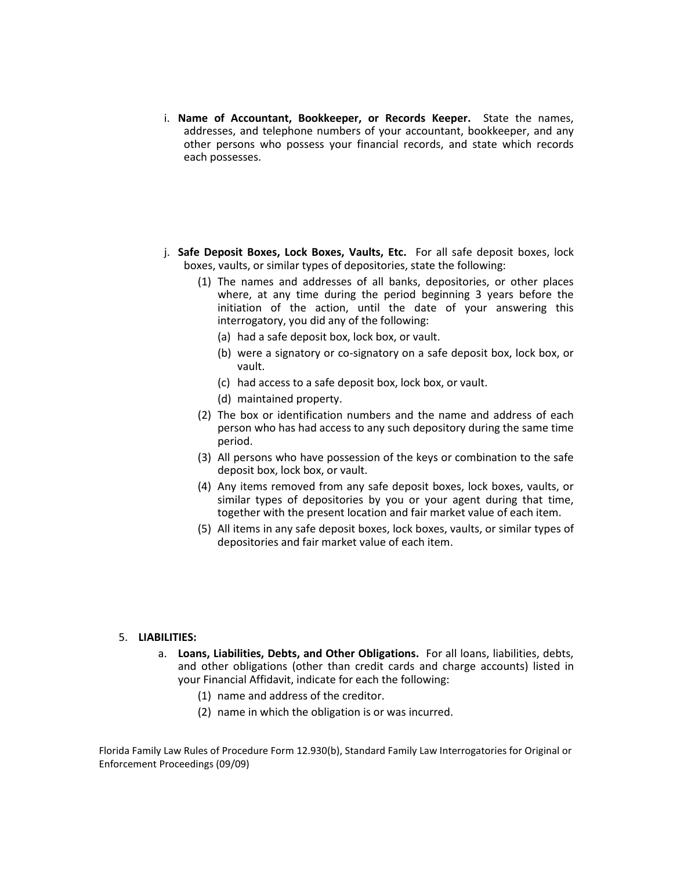- i. Name of Accountant, Bookkeeper, or Records Keeper. State the names, addresses, and telephone numbers of your accountant, bookkeeper, and any records addresses, and telephone numbers of your accountant, bookkeeper, and any other persons who possess your financial records, and state which records each possesses.
- j. **Safe Deposit Boxes, Lock Boxes, Vaults, Etc.**  For all safe deposit boxes, lock boxes, vaults, or similar types of depositories, state the following:
	- (1) The names and addresses of all banks, depositories, or other places where, at any time during the period beginning 3 years before the initiation of the action, until the date of your answering this interrogatory, you did any of the following:
		- (a) had a safe deposit box, lock box, or vault.
		- (b) were a signatory or co‐signatory on a safe deposit box, lock box, or vault.
		- (c) had access to a safe deposit box, lock box, or vault.
		- (d) maintained property.
	- (2) The box or identification numbers and the name and address of each person who has had access to any such depository during the same time period.
	- (3) All persons who have possession of the keys or combination to the safe deposit box, lock box, or vault.
	- (4) Any items removed from any safe deposit boxes, lock boxes, vaults, or of depositories by you or your agent during that time, (4) Any items removed from any safe deposit boxes, lock boxes, vaults, or similar types of depositories by you or your agent during that time, together with the present location and fair market value of each item.
	- (5) All items in any safe deposit boxes, lock boxes, vaults, or similar types of depositories and fair market value of each item.

#### 5. **LIABILITIES:**

- a. **Loans, Liabilities, Debts, and Other Obligations.**  For all loans, liabilities, debts, and other obligations (other than credit cards and charge accounts) listed in your Financial Affidavit, indicate for each the following:
	- (1) name and address of the creditor.
	- (2) name in which the obligation is or was incurred.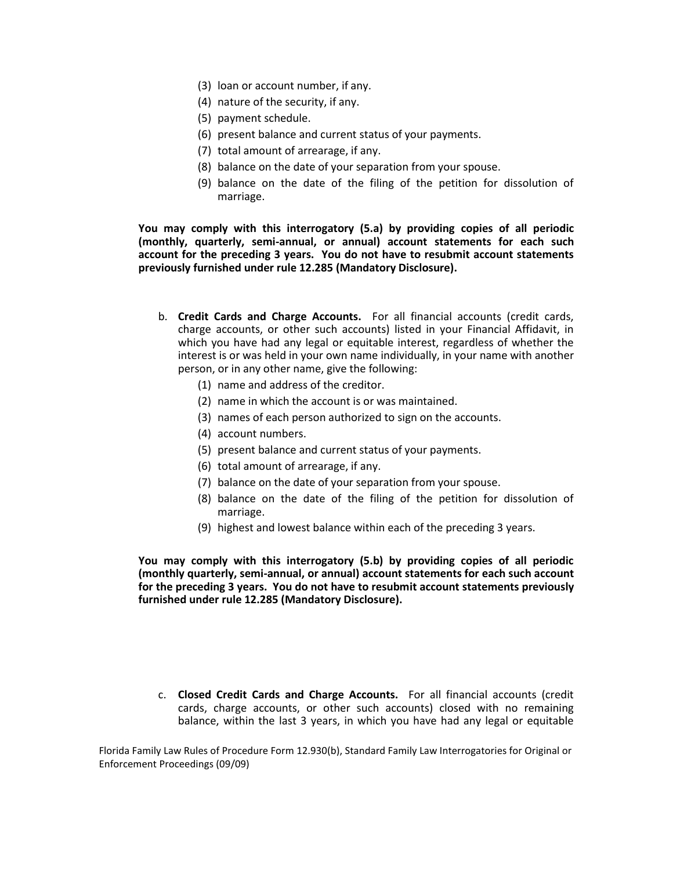- 
- (3) Ioan or account number, if any.<br>(4) nature of the security, if any.
- (5) payment schedule.
- (6) present balance and current status of your payments.
- (7) total amount of arrearage, if any.
- (8) balance on the date of your separation from your spouse.
- (9) balance on the date of the filing of the petition for dissolution of marriage.

 **You may comply with this interrogatory (5.a) by providing copies of all periodic (monthly, quarterly, semi‐annual, or annual) account statements for each such account for the preceding 3 years. You do not have to resubmit account statements previously furnished under rule 12.285 (Mandatory Disclosure).** 

- b. **Credit Cards and Charge Accounts.**  For all financial accounts (credit cards, charge accounts, or other such accounts) listed in your Financial Affidavit, in which you have had any legal or equitable interest, regardless of whether the interest is or was held in your own name individually, in your name with another person, or in any other name, give the following:
	- (1) name and address of the creditor.
	- (2) name in which the account is or was maintained.
	- (3) names of each person authorized to sign on the accounts.
	- (4) account numbers.
	- (5) present balance and current status of your payments.
	- (6) total amount of arrearage, if any.
	- (7) balance on the date of your separation from your spouse.
	- (8) balance on the date of the filing of the petition for dissolution of marriage.
	- (9) highest and lowest balance within each of the preceding 3 years.

You may comply with this interrogatory (5.b) by providing copies of all periodic  **You may comply with this interrogatory (5.b) by providing copies of all periodic (monthly quarterly, semi‐annual, or annual) account statements for each such account for the preceding 3 years. You do not have to resubmit account statements previously furnished under rule 12.285 (Mandatory Disclosure).** 

c. **Closed Credit Cards and Charge Accounts.** For all financial accounts (credit cards, charge accounts, or other such accounts) closed with no remaining balance, within the last 3 years, in which you have had any legal or cards, charge accounts, or other such accounts) closed with no remaining balance, within the last 3 years, in which you have had any legal or equitable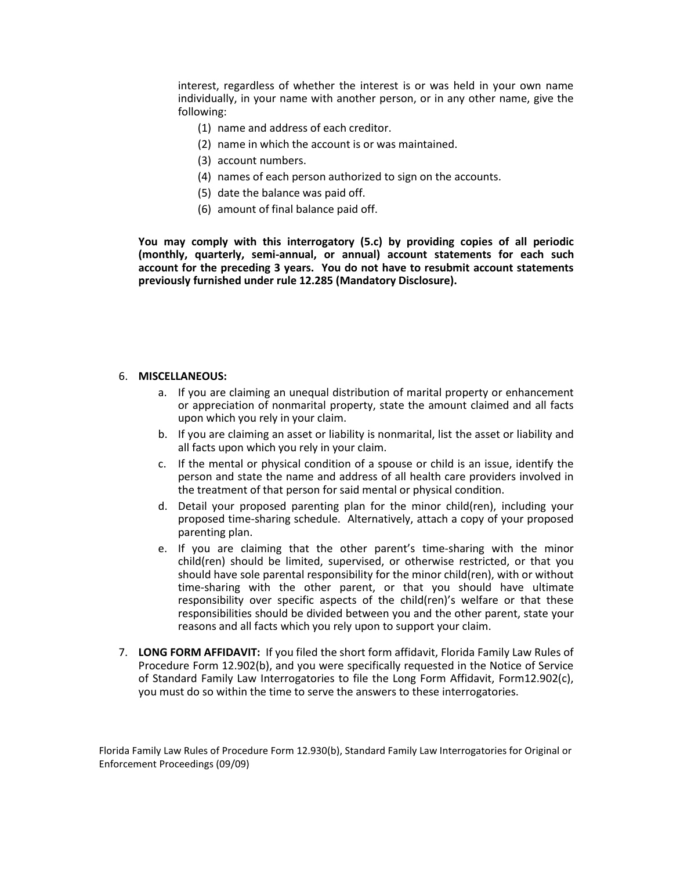interest, regardless of whether the interest is or was held in your own name individually, in your name with another person, or in any other name, give the following:

- (1) name and address of each creditor.
- (2) name in which the account is or was maintained.
- (3) account numbers.
- (4) names of each person authorized to sign on the accounts.
- 
- (5) date the balance was paid off.<br>(6) amount of final balance paid off.

 **You may comply with this interrogatory (5.c) by providing copies of all periodic (monthly, quarterly, semi‐annual, or annual) account statements for each such account for the preceding 3 years. You do not have to resubmit account statements previously furnished under rule 12.285 (Mandatory Disclosure).** 

#### 6. **MISCELLANEOUS:**

- a. If you are claiming an unequal distribution of marital property or enhancement or appreciation of nonmarital property, state the amount claimed and all facts<br>upon which you rely in your claim.
- b. If you are claiming an asset or liability is nonmarital, list the asset or liability and all facts upon which you rely in your claim.
- c. If the mental or physical condition of a spouse or child is an issue, identify the person and state the name and address of all health care providers involved in the treatment of that person for said mental or physical condition.
- d. Detail your proposed parenting plan for the minor child(ren), including your proposed time‐sharing schedule. Alternatively, attach a copy of your proposed proposed time-sharing schedule. Alternatively, attach a copy of your proposed parenting plan.
- e. If you are claiming that the other parent's time‐sharing with the minor time‐sharing with the other parent, or that you should have ultimate responsibilities should be divided between you and the other parent, state your reasons and all facts which you rely upon to support your claim. child(ren) should be limited, supervised, or otherwise restricted, or that you should have sole parental responsibility for the minor child(ren), with or without responsibility over specific aspects of the child(ren)'s welfare or that these
- 7. **LONG FORM AFFIDAVIT:**  If you filed the short form affidavit, Florida Family Law Rules of Procedure Form 12.902(b), and you were specifically requested in the Notice of Service of Standard Family Law Interrogatories to file the Long Form Affidavit, Form12.902(c), you must do so within the time to serve the answers to these interrogatories.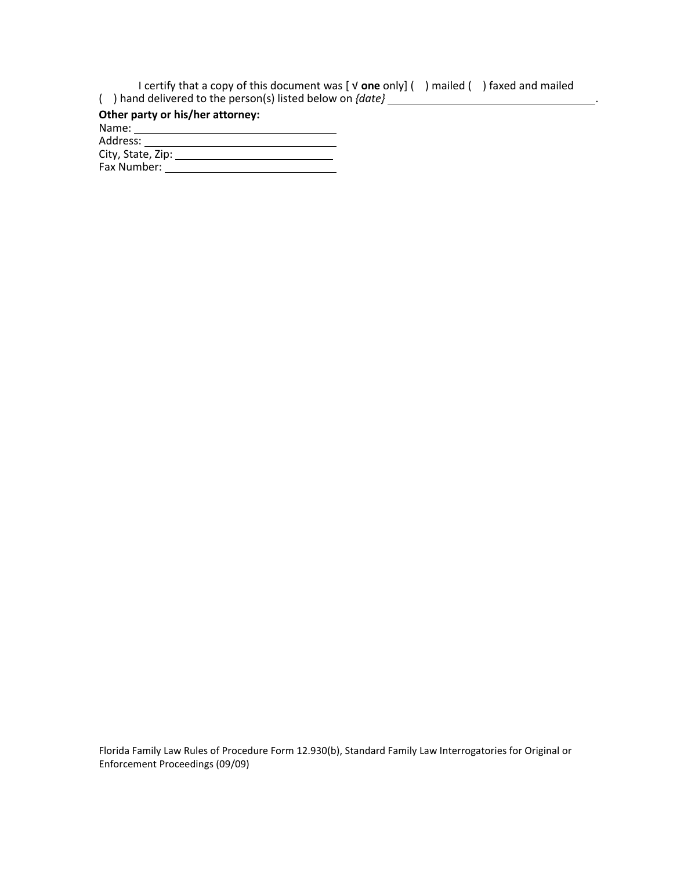I certify that a copy of this document was [  $\sqrt{ }$  one only] ( ) mailed ( ) faxed and mailed I certify that a copy of this document was [ √ **one** only] ( ) mailed ( ) faxed and mailed ( ) hand delivered to the person(s) listed below on *{date}*  .

 Name: **Other party or his/her attorney:**  Address: City, State, Zip: \_\_\_\_\_\_

Fax Number: